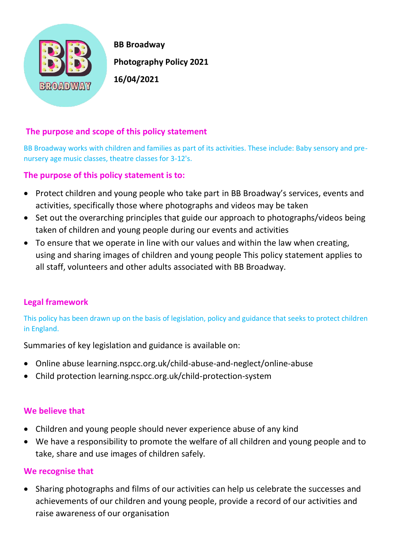

 **BB Broadway Photography Policy 2021** 

# **The purpose and scope of this policy statement**

BB Broadway works with children and families as part of its activities. These include: Baby sensory and prenursery age music classes, theatre classes for 3-12's.

# **The purpose of this policy statement is to:**

- Protect children and young people who take part in BB Broadway's services, events and activities, specifically those where photographs and videos may be taken
- Set out the overarching principles that guide our approach to photographs/videos being taken of children and young people during our events and activities
- To ensure that we operate in line with our values and within the law when creating, using and sharing images of children and young people This policy statement applies to all staff, volunteers and other adults associated with BB Broadway.

# **Legal framework**

This policy has been drawn up on the basis of legislation, policy and guidance that seeks to protect children in England.

Summaries of key legislation and guidance is available on:

- Online abuse learning.nspcc.org.uk/child-abuse-and-neglect/online-abuse
- Child protection learning.nspcc.org.uk/child-protection-system

# **We believe that**

- Children and young people should never experience abuse of any kind
- We have a responsibility to promote the welfare of all children and young people and to take, share and use images of children safely.

#### **We recognise that**

• Sharing photographs and films of our activities can help us celebrate the successes and achievements of our children and young people, provide a record of our activities and raise awareness of our organisation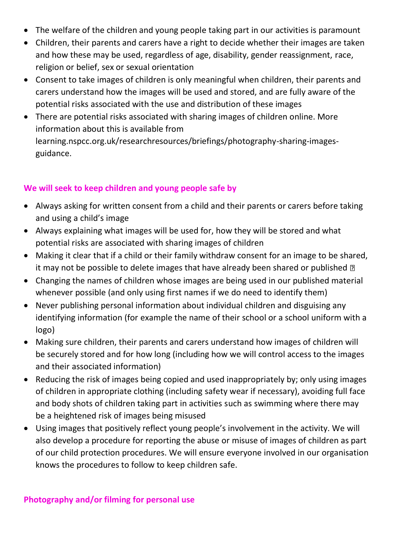- The welfare of the children and young people taking part in our activities is paramount
- Children, their parents and carers have a right to decide whether their images are taken and how these may be used, regardless of age, disability, gender reassignment, race, religion or belief, sex or sexual orientation
- Consent to take images of children is only meaningful when children, their parents and carers understand how the images will be used and stored, and are fully aware of the potential risks associated with the use and distribution of these images
- There are potential risks associated with sharing images of children online. More information about this is available from learning.nspcc.org.uk/researchresources/briefings/photography-sharing-imagesguidance.

# **We will seek to keep children and young people safe by**

- Always asking for written consent from a child and their parents or carers before taking and using a child's image
- Always explaining what images will be used for, how they will be stored and what potential risks are associated with sharing images of children
- Making it clear that if a child or their family withdraw consent for an image to be shared, it may not be possible to delete images that have already been shared or published  $\mathbb D$
- Changing the names of children whose images are being used in our published material whenever possible (and only using first names if we do need to identify them)
- Never publishing personal information about individual children and disguising any identifying information (for example the name of their school or a school uniform with a logo)
- Making sure children, their parents and carers understand how images of children will be securely stored and for how long (including how we will control access to the images and their associated information)
- Reducing the risk of images being copied and used inappropriately by; only using images of children in appropriate clothing (including safety wear if necessary), avoiding full face and body shots of children taking part in activities such as swimming where there may be a heightened risk of images being misused
- Using images that positively reflect young people's involvement in the activity. We will also develop a procedure for reporting the abuse or misuse of images of children as part of our child protection procedures. We will ensure everyone involved in our organisation knows the procedures to follow to keep children safe.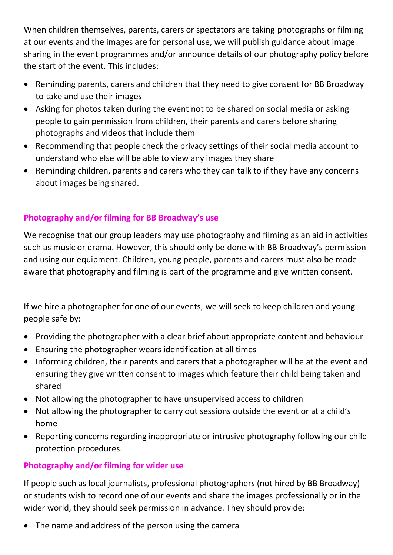When children themselves, parents, carers or spectators are taking photographs or filming at our events and the images are for personal use, we will publish guidance about image sharing in the event programmes and/or announce details of our photography policy before the start of the event. This includes:

- Reminding parents, carers and children that they need to give consent for BB Broadway to take and use their images
- Asking for photos taken during the event not to be shared on social media or asking people to gain permission from children, their parents and carers before sharing photographs and videos that include them
- Recommending that people check the privacy settings of their social media account to understand who else will be able to view any images they share
- Reminding children, parents and carers who they can talk to if they have any concerns about images being shared.

# **Photography and/or filming for BB Broadway's use**

We recognise that our group leaders may use photography and filming as an aid in activities such as music or drama. However, this should only be done with BB Broadway's permission and using our equipment. Children, young people, parents and carers must also be made aware that photography and filming is part of the programme and give written consent.

If we hire a photographer for one of our events, we will seek to keep children and young people safe by:

- Providing the photographer with a clear brief about appropriate content and behaviour
- Ensuring the photographer wears identification at all times
- Informing children, their parents and carers that a photographer will be at the event and ensuring they give written consent to images which feature their child being taken and shared
- Not allowing the photographer to have unsupervised access to children
- Not allowing the photographer to carry out sessions outside the event or at a child's home
- Reporting concerns regarding inappropriate or intrusive photography following our child protection procedures.

# **Photography and/or filming for wider use**

If people such as local journalists, professional photographers (not hired by BB Broadway) or students wish to record one of our events and share the images professionally or in the wider world, they should seek permission in advance. They should provide:

• The name and address of the person using the camera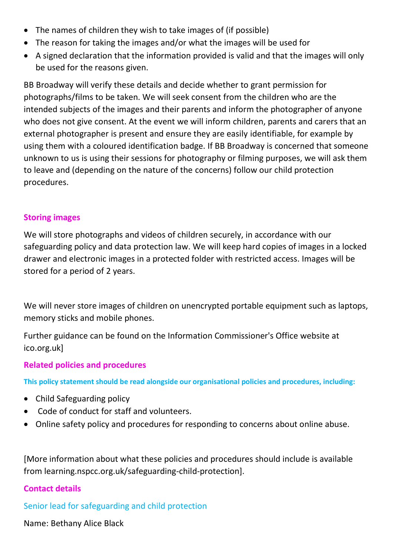- The names of children they wish to take images of (if possible)
- The reason for taking the images and/or what the images will be used for
- A signed declaration that the information provided is valid and that the images will only be used for the reasons given.

BB Broadway will verify these details and decide whether to grant permission for photographs/films to be taken. We will seek consent from the children who are the intended subjects of the images and their parents and inform the photographer of anyone who does not give consent. At the event we will inform children, parents and carers that an external photographer is present and ensure they are easily identifiable, for example by using them with a coloured identification badge. If BB Broadway is concerned that someone unknown to us is using their sessions for photography or filming purposes, we will ask them to leave and (depending on the nature of the concerns) follow our child protection procedures.

#### **Storing images**

We will store photographs and videos of children securely, in accordance with our safeguarding policy and data protection law. We will keep hard copies of images in a locked drawer and electronic images in a protected folder with restricted access. Images will be stored for a period of 2 years.

We will never store images of children on unencrypted portable equipment such as laptops, memory sticks and mobile phones.

Further guidance can be found on the Information Commissioner's Office website at ico.org.uk]

# **Related policies and procedures**

**This policy statement should be read alongside our organisational policies and procedures, including:**

- Child Safeguarding policy
- Code of conduct for staff and volunteers.
- Online safety policy and procedures for responding to concerns about online abuse.

[More information about what these policies and procedures should include is available from learning.nspcc.org.uk/safeguarding-child-protection].

#### **Contact details**

Senior lead for safeguarding and child protection

Name: Bethany Alice Black